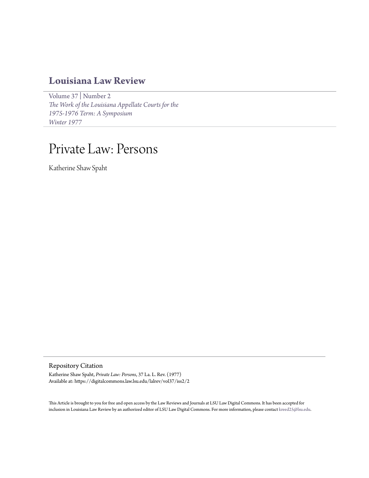## **[Louisiana Law Review](https://digitalcommons.law.lsu.edu/lalrev)**

[Volume 37](https://digitalcommons.law.lsu.edu/lalrev/vol37) | [Number 2](https://digitalcommons.law.lsu.edu/lalrev/vol37/iss2) *[The Work of the Louisiana Appellate Courts for the](https://digitalcommons.law.lsu.edu/lalrev/vol37/iss2) [1975-1976 Term: A Symposium](https://digitalcommons.law.lsu.edu/lalrev/vol37/iss2) [Winter 1977](https://digitalcommons.law.lsu.edu/lalrev/vol37/iss2)*

# Private Law: Persons

Katherine Shaw Spaht

Repository Citation

Katherine Shaw Spaht, *Private Law: Persons*, 37 La. L. Rev. (1977) Available at: https://digitalcommons.law.lsu.edu/lalrev/vol37/iss2/2

This Article is brought to you for free and open access by the Law Reviews and Journals at LSU Law Digital Commons. It has been accepted for inclusion in Louisiana Law Review by an authorized editor of LSU Law Digital Commons. For more information, please contact [kreed25@lsu.edu](mailto:kreed25@lsu.edu).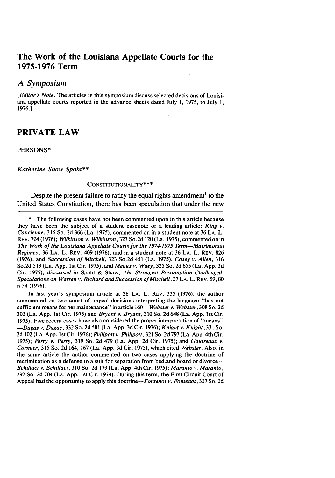## The Work of the Louisiana Appellate Courts for the **1975-1976** Term

#### *A Symposium*

[Editor's Note. The articles in this symposium discuss selected decisions of Louisiana appellate courts reported in the advance sheets dated July **1, 1975,** to July **1, 1976.]**

## PRIVATE LAW

#### **PERSONS\***

#### *Katherine Shaw Spaht\*\**

#### **CONSTITUTIONALITY\*\* \***

Despite the present failure to ratify the equal rights amendment' to the United States Constitution, there has been speculation that under the new

**\*** The following cases have not been commented upon in this article because they have been the subject of a student casenote or a leading article: King  $v$ . Cancienne, 316 So. 2d 366 (La. 1975), commented on in a student note at 36 LA. L. REV. 704 (1976); Wilkinson v. Wilkinson, 323 So.2d 120 (La. 1975), commented on in The Work of the Louisiana Appellate Courts for the **1974-1975** Term-Matrimonial Regimes, 36 LA. L. REV. 409 (1976), and in a student note at 36 LA. L. REV. 826 (1976); and Succession of Mitchell, 323 So.2d 451 (La. 1975), Cosey v. Allen, <sup>316</sup> So.2d 513 (La. App. **Ist** Cir. 1975), and *Meaux v. Wiley,* 325 So. 2d 655 (La. App. 3d Cir. 1975), *discussed in* Spaht & Shaw, *The Strongest Presumption Challenged: Speculations on Warren v. Richard and Succession of* Mitchell, 37 **LA.** L. REV. 59,80 n.54 (1976).

In last year's symposium article at 36 LA. L. REV. 335 (1976), the author commented on two court of appeal decisions interpreting the language "has not sufficient means for her maintenance" inarticle 160- *Webster v. Webster,* 308 So. 2d 302 (La. App. Ist Cir. 1975) and *Bryant v. Bryant,* 310 So. 2d 648 (La. App. Ist Cir. 1975). Five recent cases have also considered the proper interpretation of "means" *-Dugas v. Dugas,* 332 So. 2d 501 (La. App. 3d Cir. 1976); *Knight v. Knight,* 331 So. 2d 102 (La. App. 1st Cir. 1976); *Phillpott v. Phillpott*, 321 So. 2d 797 (La. App. 4th Cir. 1975); *Perry v. Perry,* 319 So. 2d 479 (La. App. 2d Cir. 1975); and *Gautreaux v. Cormier,* 315 So. 2d 164, 167 (La. App. 3d Cir. 1975), which cited *Webster.* Also, in the same article the author commented on two cases applying the doctrine of recrimination as a defense to a suit for separation from bed and board or divorce--*Schillaci v.* Schillaci, 310 So. 2d 179 (La. App. 4th Cir. 1975); *Maranto v. Maranto,* 297 So. 2d 704 (La. App. 1st Cir. 1974). During this term, the First Circuit Court of Appeal had the opportunity to apply this *doctrine-Fontenot v. Fontenot,* 327 So. 2d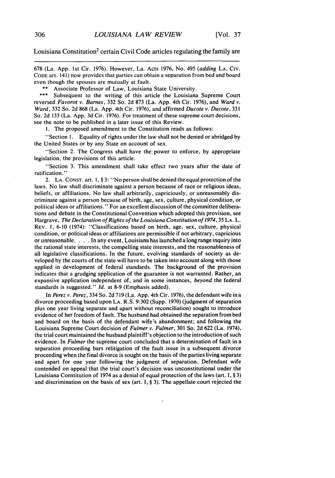Louisiana Constitution<sup>2</sup> certain Civil Code articles regulating the family are

678 (La. App. 1st Cir. 1976). However, La. Acts 1976, No. 495 *(adding* **LA.** Civ. **CODE** art. 141) now provides that parties can obtain a separation from bed and board even though the spouses are mutually at fault.

\*\* Associate Professor of Law, Louisiana State University.<br>\*\*\* Subsequent to the writing of this article the Louisiana

Subsequent to the writing of this article the Louisiana Supreme Court reversed *Favorot v.* Barnes, 332 So. 2d 873 (La. App. 4th Cir. 1976), and *Ward v. Ward,* 332 So. 2d 868 (La. App. 4th Cir. 1976), and affirmed *Ducote v. Ducote,* 331 So. 2d 133 (La. App. 3d Cir. 1976). For treatment of these supreme court decisions, see the note to be published in a later issue of this Review.

I. The proposed amendment to the Constitution reads as follows:

"Section 1. Equality of rights under'the law shall not be denied or abridged by the United States or by any State on account of sex.

"Section 2. The Congress shall have the power to enforce, by appropriate legislation, the provisions of this article.

"Section 3. This amendment shall take effect two years after the date of ratification.'"

2. **LA. CONST.** art. 1, § 3: "No person shall be denied the equal protection of the laws. No law shall discriminate against a person because of race or religious ideas, beliefs, or affiliations. No law shall arbitrarily, capriciously, or unreasonably discriminate against a person because of birth, age, sex, culture, physical condition, or political ideas or affiliations." For an excellent discussion of the committee deliberations and debate in the Constitutional Convention which adopted this provision, see Hargrave, The Declaration of Rights of the Louisiana Constitution of 1974, 35 **LA.** L. REV. **1,** 6-10 (1974): "Classifications based on birth, age, sex, culture, physical condition, or political ideas or affiliations are permissible if not arbitrary, capricious or unreasonable. . **.** . In any event, Louisiana has launched a long range inquiry into the rational state interests, the compelling state interests, and the reasonableness of all legislative classifications. In the future, evolving standards of society as developed by the courts of the state will have to be taken into account along with those applied in development of federal standards. The background of the provision indicates that a grudging application of the guarantee is not warranted. Rather, an expansive application independent of, and in some instances, *beyond* the federal standards is suggested." *Id.* at 8-9 (Emphasis added).

In *Perez v. Perez,* 334 So. 2d 719 (La. App. 4th Cir. 1976), the defendant wife in a divorce proceeding based upon **LA.** R.S. 9:302 (Supp. 1970) (judgment of separation plus one year living separate and apart without reconciliation) sought to introduce evidence of her freedom of fault. The husband had obtained the separation from bed and board on the basis of the defendant wife's abandonment; and following the Louisiana Supreme Court decision of *Fulmer v. Fulmer,* 301 So. 2d 622 (La. 1974), the trial court maintained the husband plaintiff's objection to the introduction of such evidence. In *Fulmer* the supreme court concluded that a determination of fault in a separation proceeding bars relitigation of the fault issue in a subsequent divorce proceeding when the final divorce is sought on the basis of the parties living separate and apart for one year following the judgment of separation. Defendant wife contended on appeal that the trial court's decision was unconstitutional under the Louisiana Constitution of 1974 as a denial of equal protection of the laws (art. I, § 3) and discrimination on the basis of sex (art. I, § 3). The appellate court rejected the

 $\lambda$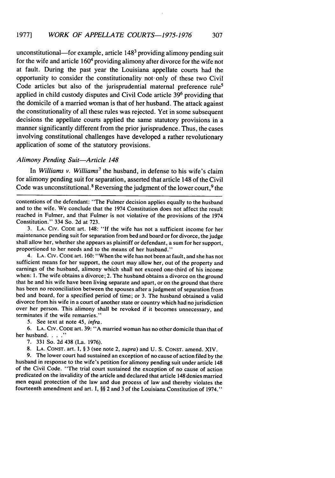unconstitutional—for example, article  $148<sup>3</sup>$  providing alimony pending suit for the wife and article 1604 providing alimony after divorce for the wife not at fault. During the past year the Louisiana appellate courts had the opportunity to consider the constitutionality not only of these two Civil Code articles but also of the jurisprudential maternal preference rule<sup>5</sup> applied in child custody disputes and Civil Code article 39<sup>6</sup> providing that the domicile of a married woman is that of her husband. The attack against the constitutionality of all these rules was rejected. Yet in some subsequent decisions the appellate courts applied the same statutory provisions in a manner significantly different from the prior jurisprudence. Thus, the cases involving constitutional challenges have developed a rather revolutionary application of some of the statutory provisions.

#### *Alimony* Pending Suit-Article 148

In *Williams v. Williams<sup>7</sup>*the husband, in defense to his wife's claim for alimony pending suit for separation, asserted that article 148 of the Civil Code was unconstitutional.<sup>8</sup> Reversing the judgment of the lower court,  $9$  the

contentions of the defendant: "The Fulmer decision applies equally to the husband and to the wife. We conclude that the 1974 Constitution does not affect the result reached in Fulmer, and that Fulmer is not violative of the provisions of the 1974 Constitution." 334 So. 2d at 723.

**3. LA.** CIV. CODE art. 148: "If the wife has not a sufficient income for her maintenance pending suit for separation from bed and board or for divorce, the judge shall allow her, whether she appears as plaintiff or defendant, a sum for her support, proportioned to her needs and to the means of her husband."

4. LA. Civ. CODE art. 160: "When the wife has not been at fault, and she has not sufficient means for her support, the court may allow her, out of the property and earnings of the husband, alimony which shall not exceed one-third of his income when: 1. The wife obtains a divorce; 2. The husband obtains a divorce on the ground that he and his wife have been living separate and apart, or on the ground that there has been no reconciliation between the spouses after a judgment of separation from bed and board, for a specified period of time; or 3. The husband obtained a valid divorce from his wife in a court of another state or country which had no jurisdiction over her person. This alimony shall be revoked if it becomes unnecessary, and terminates if the wife remarries."

5. See text at note 45, infra.

6. **LA.** CIv. CODE art. 39: "A married woman has no other domicile than that of her husband. . . .<sup>\*</sup>

7. 331 So. 2d 438 (La. 1976).

**8. LA.** CONST. art. I, § 3 (see note 2, *supra)* and U. S. CONST. amend. XIV.

9. The lower court had sustained an exception of no cause of action filed by the husband in response to the wife's petition for alimony pending suit under article 148 of the Civil Code. "The trial court sustained the exception of no cause of action predicated on the invalidity of the article and declared that article 148 denies married men equal protection of the law and due process of law and thereby violates the fourteenth amendment and art. I, §§ 2 and 3 of the Louisiana Constitution of 1974."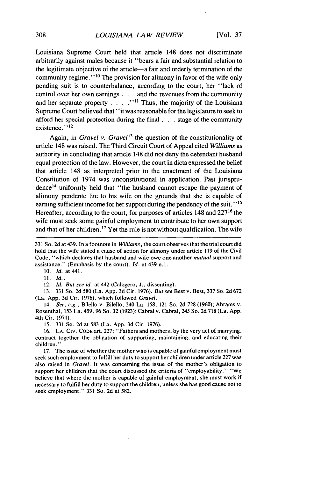Louisiana Supreme Court held that article 148 does not discriminate arbitrarily against males because it "bears a fair and substantial relation to the legitimate objective of the article—a fair and orderly termination of the community regime."<sup>10</sup> The provision for alimony in favor of the wife only pending suit is to counterbalance, according to the court, her "lack of control over her own earnings **. . .** and the revenues from the community and her separate property **. . . . ""** Thus, the majority of the Louisiana Supreme Court believed that **"it** was reasonable for the legislature to seek to afford her special protection during the final **. . .** stage of the community existence."<sup>12</sup>

Again, in *Gravel v. Gravel'3* the question of the constitutionality of article 148 was raised. The Third Circuit Court of Appeal cited *Williams* as authority in concluding that article 148 did not deny the defendant husband equal protection of the law. However, the court in dicta expressed the belief that article 148 as interpreted prior to the enactment of the Louisiana Constitution of 1974 was unconstitutional in application. Past jurisprudence<sup>14</sup> uniformly held that "the husband cannot escape the payment of alimony pendente lite to his wife on the grounds that she is capable of earning sufficient income for her support during the pendency of the suit." **' 5** Hereafter, according to the court, for purposes of articles 148 and **22716** the wife must seek some gainful employment to contribute to her own support and that of her children. **1 <sup>7</sup>**Yet the rule is not without qualification. The wife

**331** So. **2d** at 439. In a footnote in Williams, the court observes that the trial court did hold that the wife stated a cause of action for alimony under article **119** of the Civil Code, "which declares that husband and wife owe one another *mutual* support and assistance." (Emphasis **by** the court). **Id.** at 439 n. **1.**

**10.** Id. at 441.

**11. Id..**

12. Id. But see id. at 442 (Calogero, **J.,** dissenting).

**13. 331** So. **2d 580** (La. **App. 3d** Cir. **1976).** But see Best v. Best, **337** So. **2d 672** (La. **App. 3d** Cir. **1976),** which followed Gravel.

14. See, e.g., Bilello v. Bilello, 240 La. **158,** 121 So. **2d 728 (1960);** Abrams v. Rosenthal, **153** La. 459, **96** So. **32 (1923);** Cabral v. Cabral, 245 So. **2d 718** (La. **App.** 4th Cir. **1971).**

**15. 331** So. **2d** at **583** (La. **App. 3d** Cir. **1976).**

**16. LA. CIV.** CODE art. **227:** "Fathers and mothers, **by** the very act of marrying, contract together the obligation of supporting, maintaining, and educating their children."

**17.** The issue of whether the mother who is capable of gainful employment must seek such employment to fulfill her duty to support her children under article **227** was also raised in Gravel. It was concerning the issue of the mother's obligation to support her children that the court discussed the criteria of "employability." "We believe that where the mother is capable of gainful employment, she must work if necessary to fulfill her duty to support the children, unless she has good cause not to seek employment." **331** So. **2d** at **582.**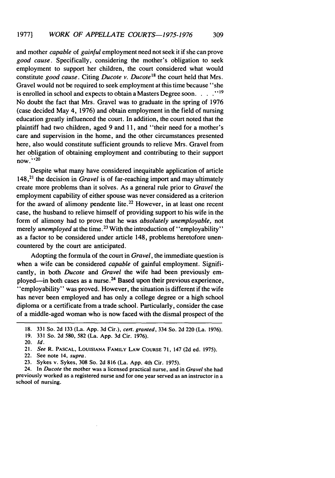and mother capable of *gainful* employment need not seek it if she can prove good *cause.* Specifically, considering the mother's obligation to seek employment to support her children, the court considered what would constitute *good cause.* Citing *Ducote v. Ducote18* the court held that Mrs. Gravel would not be required to seek employment at this time because "she is enrolled in school and expects to obtain a Masters Degree soon. . . .<sup>19</sup> No doubt the fact that Mrs. Gravel was to graduate in the spring of 1976 (case decided May 4, 1976) and obtain employment in the field of nursing education greatly influenced the court. In addition, the court noted that the plaintiff had two children, aged 9 and 11, and "their need for a mother's care and supervision in the home, and the other circumstances presented here, also would constitute sufficient grounds to relieve Mrs. Gravel from her obligation of obtaining employment and contributing to their support now." **, 20**

Despite what many have considered inequitable application of article 148,21 the decision in *Gravel* is of far-reaching import and may ultimately create more problems than it solves. As a general rule prior to *Gravel* the employment capability of either spouse was never considered as a criterion for the award of alimony pendente lite.<sup>22</sup> However, in at least one recent case, the husband to relieve himself of providing support to his wife in the form of alimony had to prove that he was *absolutely unemployable,* not merely *unemployed* at the time.<sup>23</sup> With the introduction of "employability" as a factor to be considered under article 148, problems heretofore unencountered by the court are anticipated.

Adopting the formula of the court in *Gravel,* the immediate question is when a wife can be considered *capable* of gainful employment. Significantly, in both *Ducote* and *Gravel* the wife had been previously employed—in both cases as a nurse.<sup>24</sup> Based upon their previous experience, <sup>1</sup>'employability'' was proved. However, the situation is different if the wife has never been employed and has only a college degree or a high school diploma or a certificate from a trade school. Particularly, consider the case of a middle-aged woman who is now faced with the dismal prospect of the

24. In Ducote the mother was a licensed practical nurse, and in Gravel she had previously worked as a registered nurse and for one year served as an instructor in a school of nursing.

<sup>18. 331</sup> So. 2d 133 (La. App. 3d Cir.), cert. granted, 334 So. 2d 220 (La. 1976).

<sup>19. 331</sup> So. 2d 580, 582 (La. App. 3d Cir. 1976).

<sup>20.</sup> *Id.*

<sup>21.</sup> See R. **PASCAL,** LOUISIANA FAMILY **LAW** COURSE 71, 147 (2d ed. 1975).

<sup>22.</sup> See note 14, supra.

<sup>23.</sup> Sykes v. Sykes, 308 So. 2d 816 (La. App. 4th Cir. 1975).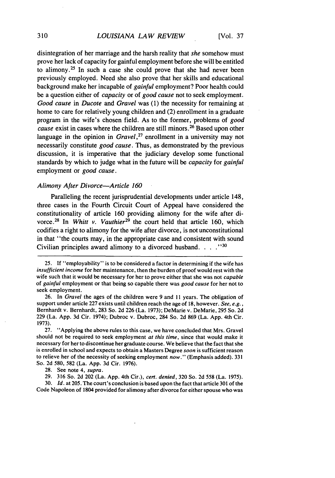#### *LOUISIANA LAW REVIEW*

disintegration of her marriage and the harsh reality that she somehow must prove her lack of capacity for gainful employment before she will be entitled to alimony. 25 In such a case she could prove that she had never been previously employed. Need she also prove that her skills and educational background make her incapable of *gainful* employment? Poor health could be a question either of *capacity* or of good *cause* not to seek employment. Good *cause* in *Ducote* and *Gravel* was (1) the necessity for remaining at home to care for relatively young children and (2) enrollment in a graduate program in the wife's chosen field. As to the former, problems of *good cause* exist in cases where the children are still minors.<sup>26</sup> Based upon other language in the opinion in *Gravel*,<sup>27</sup> enrollment in a university may not necessarily constitute *good cause.* Thus, as demonstrated by the previous discussion, it is imperative that the judiciary develop some functional standards by which to judge what in the future will be *capacity* for *gainful* employment or *good cause.*

#### *Alimony After Divorce-Article 160*

Paralleling the recent jurisprudential developments under article 148, three cases in the Fourth Circuit Court of Appeal have considered the constitutionality of article 160 providing alimony for the wife after divorce. 28 In *Whitt v. Vauthier29* the court held that article 160, which codifies a right to alimony for the wife after divorce, is not unconstitutional in that "the courts may, in the appropriate case and consistent with sound Civilian principles award alimony to a divorced husband..... $130$ 

27. "Applying the above rules to this case, we have concluded that Mrs. Gravel should not be required to seek employment *at this time,* since that would make it necessary for her to discontinue her graduate course. We believe that the fact that she is enrolled in school and expects to obtain a Masters Degree *soon* is sufficient reason to relieve her of the necessity of seeking employment *now."* (Emphasis added). 331 So. 2d 580, 582 (La. App. 3d Cir. 1976).

28. See note 4, *supra.*

29. 316 So. 2d 202 (La. App. 4th Cir.), *cert. denied,* 320 So. 2d 558 (La. 1975).

30. *Id.* at 205. The court's conclusion is based upon the fact that article 301 of the Code Napoleon of 1804 provided for alimony after divorce for either spouse who was

<sup>25.</sup> **If** "employability" is to be considered a factor in determining if the wife has *insufficient income* for her maintenance, then the burden of proof would rest with the wife such that it would be necessary for her to prove either that she was not *capable* of *gainful* employment or that being so capable there was *good cause* for her not to seek employment.

<sup>26.</sup> In *Gravel* the ages of the children were 9 and 11 years. The obligation of support under article 227 exists until children reach the age of 18, however. *See, e.g.,* Bernhardt v. Bernhardt, 283 So. 2d 226 (La. 1973); DeMarie v. DeMarie, 295 So. 2d 229 (La. App. 3d Cir. 1974); Dubroc v. Dubroc, 284 So. 2d 869 (La. App. 4th Cir. 1973).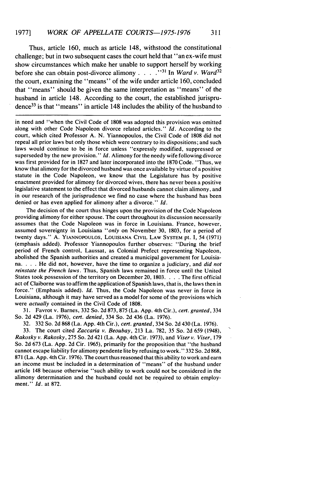Thus, article 160, much as article 148, withstood the constitutional challenge; but in two subsequent cases the court held that "an ex-wife must show circumstances which make her unable to support herself by working before she can obtain post-divorce alimony .... **.. <sup>31</sup>**In *Ward v. Ward3 <sup>2</sup>* the court, examining the "means" of the wife under article 160, concluded that "means" should be given the same interpretation as "means" of the husband in article 148. According to the court, the established jurisprudence<sup>33</sup> is that "means" in article 148 includes the ability of the husband to

in need and "when the Civil Code of 1808 was adopted this provision was omitted along with other Code Napoleon divorce related articles." *Id.* According to the court, which cited Professor A. N. Yiannopoulos, the Civil Code of 1808 did not repeal all prior laws but only those which were contrary to its dispositions; and such laws would continue to be in force unless "expressly modified, suppressed or superseded by the new provision." *Id.* Alimony for the needy wife following divorce was first provided for in 1827 and later incorporated into the 1870 Code. "Thus, we know that alimony for the divorced husband was once available by virtue of a positive statute in the Code Napoleon, we know that the Legislature has by positive enactment provided for alimony for divorced wives, there has never been a positive legislative statement to the effect that divorced husbands cannot claim alimony, and in our research of the jurisprudence we find no case where the husband has been denied or has even applied for alimony after a divorce." *Id.*

The decision of the court thus hinges upon the provision of the Code Napoleon providing alimony for either spouse. The court throughout its discussion necessarily assumes that the Code Napoleon was in force in Louisiana. France, however, assumed sovereignty in Louisiana *"only* on November 30, 1803, for a period of twenty days." A. YIANNOPOULOS, LOUISIANA CIVIL LAW SYSTEM Pt. I, 54 (1971) (emphasis added). Professor Yiannopoulos further observes: "During the brief period of French control, Laussat, as Colonial Prefect representing Napoleon, abolished the Spanish authorities and created a municipal government for Louisia**na.** . **.** . He did not, however, have the time to organize a judiciary, and *did not* reinstate the French laws. Thus, Spanish laws remained in force until the United States took possession of the territory on December 20, 1803. . **.** . The first official act of Claiborne was to affirm the application of Spanish laws, that is, the laws then in force." (Emphasis added). *Id.* Thus, the Code Napoleon was never in force in Louisiana, although it may have served as a model for some of the provisions which were actually contained in the Civil Code of 1808.

31. Favrot v. Barnes, 332 So. 2d 873, 875 (La. App. 4th Cir.), *cert. granted,* 334 So. 2d 429 (La. 1976), *cert. denied,* 334 So. 2d 436 (La. 1976).

32. 332 So. 2d 868 (La. App. 4th Cir.), *cert. granted,* 334 So. 2d 430 (La. 1976).

33. The court cited *Zaccaria v. Beoubay,* 213 La. 782, 35 So. 2d 659 (1948), *Rakosky v. Rakosky,* 275 So. 2d 421 (La. App. 4th Cir. 1973), and *Viser v. Viser,* <sup>179</sup> So. 2d 673 (La. App. 2d Cir. 1965), primarily for the proposition that "the husband cannot escape liability for alimony pendente lite by refusing to work." 332 So. 2d 868, 871 (La. App. 4th Cir. 1976). The court thus reasoned that this ability to work and earn an income must be included in a determination of "means" of the husband under article 148 because otherwise "such ability to work could not be considered in the alimony determination and the husband could not be required to obtain employment. " *Id.* at 872.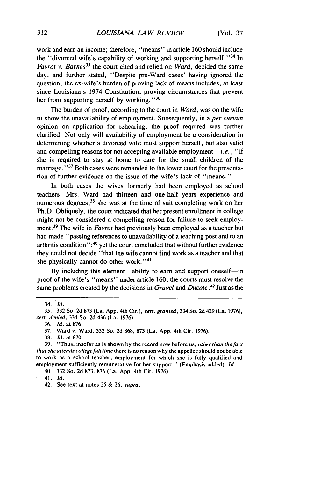work and earn an income; therefore, "means" in article 160 should include the "divorced wife's capability of working and supporting herself."<sup>34</sup> In *Favrot v. Barnes*<sup>35</sup> the court cited and relied on *Ward*, decided the same day, and further stated, "Despite pre-Ward cases' having ignored the question, the ex-wife's burden of proving lack of means includes, at least since Louisiana's 1974 Constitution, proving circumstances that prevent her from supporting herself by working."<sup>36</sup>

The burden of proof, according to the court in *Ward,* was on the wife to show the unavailability of employment. Subsequently, in a *per curiam* opinion on application for rehearing, the proof required was further clarified. Not only will availability of employment be a consideration in determining whether a divorced wife must support herself, but also valid and compelling reasons for not accepting available employment—*i.e.*, "if she is required to stay at home to care for the small children of the marriage."<sup>37</sup> Both cases were remanded to the lower court for the presentation of further evidence on the issue of the wife's lack of "means."

In both cases the wives formerly had been employed as school teachers. Mrs. Ward had thirteen and one-half years experience and numerous degrees;<sup>38</sup> she was at the time of suit completing work on her Ph.D. Obliquely, the court indicated that her present enrollment in college might not be considered a compelling reason for failure to seek employment.39 The wife in *Favrot* had previously been employed as a teacher but had made "passing references to unavailability of a teaching post and to an arthritis condition"; $40$  yet the court concluded that without further evidence they could not decide "that the wife cannot find work as a teacher and that she physically cannot do other work."<sup>41</sup>

By including this element-ability to earn and support oneself-in proof of the wife's "means" under article 160, the courts must resolve the same problems created by the decisions in *Gravel* and *Ducote .42* Just as the

<sup>34.</sup> *Id.*

<sup>35. 332</sup> So. 2d 873 (La. App. 4th Cir.), *cert. granted,* 334 So. 2d 429 (La. 1976), *cert. denied,* 334 So. 2d 436 (La. 1976).

<sup>36.</sup> *Id.* at 876.

<sup>37.</sup> Ward v. Ward, 332 So. 2d 868, 873 (La. App. 4th Cir. 1976).

<sup>38.</sup> *Id.* at 870.

<sup>39. &</sup>quot;Thus, insofar as is shown by the record now before us, *other than the fact that she attends college full* time there is no reason why the appellee should not be able to work as a school teacher, employment for which she is fully qualified and employment sufficiently remunerative for her support." (Emphasis added). *Id.*

<sup>40. 332</sup> So. 2d 873, 876 (La. App. 4th Cir. 1976).

<sup>41.</sup> Id.

<sup>42.</sup> See text at notes 25 & 26, *supra.*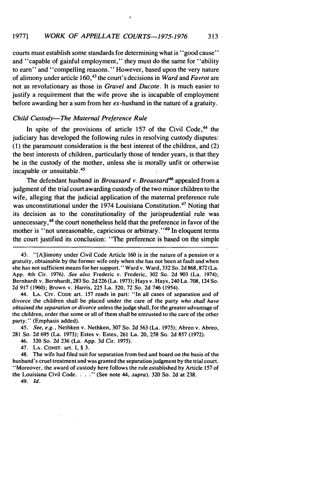$\circ$ 

courts must establish some standards for determining what is "good cause" and "capable of gainful employment," they must do the same for "ability to earn" and "compelling reasons." However, based upon the very nature of alimony under article 160,43 the court's decisions in Ward and Favrot *are* not as revolutionary as those in Gravel and Ducote. It is much easier to justify a requirement that the wife prove she is incapable of employment before awarding her a sum from her ex-husband in the nature of a gratuity.

#### Child Custody-The Maternal Preference Rule

In spite of the provisions of article  $157$  of the Civil Code,<sup>44</sup> the judiciary has developed the following rules in resolving custody disputes: (1) the paramount consideration is the best interest of the children, and (2) the best interests of children, particularly those of tender years, is that they be in the custody of the mother, unless she is morally unfit or otherwise incapable or unsuitable. <sup>45</sup>

The defendant husband in Broussard v. Broussard<sup>46</sup> appealed from a judgment of the trial court awarding custody of the two minor children to the wife, alleging that the judicial application of the maternal preference rule was unconstitutional under the 1974 Louisiana Constitution.<sup>47</sup> Noting that its decision as to the constitutionality of the jurisprudential rule was unnecessary,<sup>48</sup> the court nonetheless held that the preference in favor of the mother is "not unreasonable, capricious or arbitrary."<sup>49</sup> In eloquent terms the court justified its conclusion: "The preference is based on the simple

**44, LA. CIV. CODE** art. **157** reads in part: **"In** all cases of separation and of divorce the children shall be placed under the care of the party who shall have obtained the separation or divorce unless the judge shall, for the greater advantage of the children, order that some or all of them shall be entrusted to the care of the other party." (Emphasis added).

45. See, e.g., Nethken v. Nethken, 307 So. 2d 563 (La. 1975); Abreo v. Abreo, 281 So. 2d 695 (La. 1973); Estes v. Estes, 261 La. 20, 258 So. 2d 857 (1972).

46. 320 So. 2d 236 (La. App. 3d Cir. 1975).

47. LA. CONST. art. I, § 3.

48. The wife had filed suit for separation from bed and board on the basis of the husband's cruel treatment and was granted the separation judgment by the trial court. "Moreover, the award of custody here follows the rule established by Article 157 of the Louisiana Civil Code.  $\ldots$  " (See note 44, supra). 320 So. 2d at 238.

49. *Id.*

<sup>43. &</sup>quot;[A]limony under Civil Code Article 160 is in the nature of a pension or a gratuity, obtainable by the former wife only when she has not been at fault and when she has not sufficient means for her support." Ward v. Ward, 332 So. 2d 868,872 (La. App. 4th Cir. 1976). See also Frederic v. Frederic, 302 So. 2d 903 (La. 1974). Bernhardt v. Bernhardt, 283 So. 2d 226 (La. 1973); Hays v. Hays, 240 La. 708,124 So. 2d 917 (1960); Brown v. Harris, 225 La. 320, 72 So. 2d 746 (1954).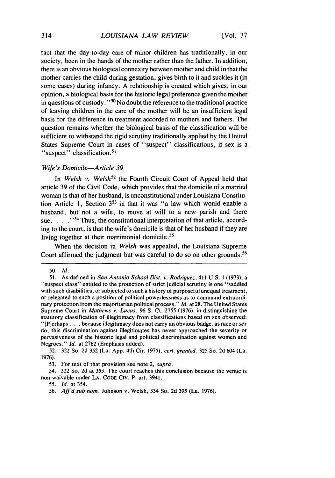fact that the day-to-day care of minor children has traditionally, in our society, been in the hands of the mother rather than the father. In addition, there is an obvious biological connexity between mother and child in that the mother carries the child during gestation, gives birth to it and suckles it (in some cases) during infancy. A relationship is created which gives, in our opinion, a biological basis for the historic legal preference given the mother in questions of custody." <sup>50</sup> No doubt the reference to the traditional practice of leaving children in the care of the mother will be an insufficient legal basis for the difference in treatment accorded to mothers and fathers. The question remains whether the biological basis of the classification will be sufficient to withstand the rigid scrutiny traditionally applied by the United States Supreme Court in cases of "suspect" classifications, if sex is a "suspect" classification.<sup>51</sup>

## *Wife's Domicile-Article 39*

In *Welsh v. Welsh<sup>52</sup>* the Fourth Circuit Court of Appeal held that article 39 of the Civil Code, which provides that the domicile of a married woman is that of her husband, is unconstitutional under Louisiana Constitution Article 1, Section  $3<sup>53</sup>$  in that it was "a law which would enable a husband, but not a wife, to move at will to a new parish and there sue. . . . .  $\cdot$  <sup>54</sup> Thus, the constitutional interpretation of that article, according to the court, is that the wife's domicile is that of her husband if they are living together at their matrimonial domicile.<sup>55</sup>

When the decision in *Welsh* was appealed, the Louisiana Supreme Court affirmed the judgment but was careful to do so on other grounds. <sup>56</sup>

*<sup>50.</sup> Id.*

**<sup>51.</sup>** As defined in *San Antonio School Dist. v. Rodriguez,* 411 **U.S. 1** (1973), a "suspect class" entitled to the protection of strict judicial scrutiny is one "saddled with such disabilities, or subjected to such a history of purposeful unequal treatment, or relegated to such a position of political powerlessness as to command extraordinary protection from the majoritarian political process." *Id.* at 28. The United States Supreme Court in *Mathews v. Lucas,* 96 **S.** Ct. 2755 (1976), in distinguishing the statutory classification of illegitimacy from classifications based on sex observed: "[Plerhaps ... because illegitimacy does not carry an obvious badge, as race or *sex* do, this discrimination against illegitimates has never approached the severity or pervasiveness of the historic legal and political discrimination against women and Negroes." *Id.* at 2762 (Emphasis added).

<sup>52. 322</sup> So. 2d 352 (La. App. 4th Cir. 1975), *cert. granted,* 325 So. 2d 604 (La. 1976).

<sup>53.</sup> For text of that provision see note 2, *supra.*

<sup>54. 322</sup> So. 2d at 353. The court reaches this conclusion because the venue is non-waivable under **LA.** CODE CIv. P. art. 3941.

*<sup>55.</sup>* Id. at 354.

<sup>56.</sup> *Aff'd* sub nom. Johnson v. Welsh, 334 So. 2d 395 (La. 1976).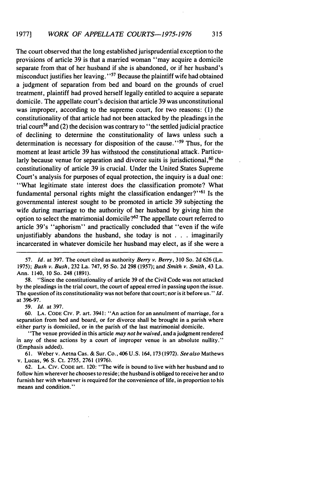The court observed that the long established jurisprudential exception to the provisions of article 39 is that a married woman "may acquire a domicile separate from that of her husband if she is abandoned, or if her husband's misconduct justifies her leaving." 7 Because the plaintiff wife had obtained a judgment of separation from bed and board on the grounds of cruel treatment, plaintiff had proved herself legally entitled to acquire a separate domicile. The appellate court's decision that article 39 was unconstitutional was improper, according to the supreme court, for two reasons: (1) the constitutionality of that article had not been attacked by the pleadings in the trial court<sup>58</sup> and (2) the decision was contrary to "the settled judicial practice of declining to determine the constitutionality of laws unless such a determination is necessary for disposition of the cause." $59$  Thus, for the moment at least article 39 has withstood the constitutional attack. Particularly because venue for separation and divorce suits is jurisdictional,  $60$  the constitutionality of article 39 is crucial. Under the United States Supreme Court's analysis for purposes of equal protection, the inquiry is a dual one: "What legitimate state interest does the classification promote? What fundamental personal rights might the classification endanger?"<sup> $61$ </sup> Is the governmental interest sought to be promoted in article 39 subjecting the wife during marriage to the authority of her husband by giving him the option to select the matrimonial domicile?<sup>62</sup> The appellate court referred to article 39's "aphorism" and practically concluded that "even if the wife unjustifiably abandons the husband, she today is not . . .imaginarily incarcerated in whatever domicile her husband may elect, as if she were a

**57.** *Id.* at 397. The court cited as authority *Berry* v. Berry, **310** So. **2d** 626 (La. 1975); Bush v. Bush, 232 La. 747, 95 So. 2d 298 (1957); and Smith v. *Smith,* 43 La. Ann. 1140, 10 So. 248 (1891).

58. "Since the constitutionality of article 39 of the Civil Code was not attacked by the pleadings in the trial court, the court of appeal erred in passing upon the issue. The question of its constitutionality was not before that court; nor is it before us." Id. at 396-97.

59. *Id.* at 397.

**60. LA. CODE** Civ. P. art. 3941: "An action for an annulment of marriage, for a separation from bed and board, or for divorce shall be brought in a parish where either party is domiciled, or in the parish of the last matrimonial domicile.

"The venue provided in this article may not be waived, and a judgment rendered in any of these actions by a court of improper venue is an absolute nullity." (Emphasis added).

61. Weber v. Aetna Cas. & Sur. Co., 406 U.S. 164, 173 (1972). See also Mathews v. Lucas, 96 **S.** Ct. 2755, 2761 (1976).

62. **LA.** CIv. **CODE** art. 120: "The wife is bound to live with her husband and to follow him wherever he chooses to reside; the husband is obliged to receive her and to furnish her with whatever is required for the convenience of life, in proportion to his means and condition."